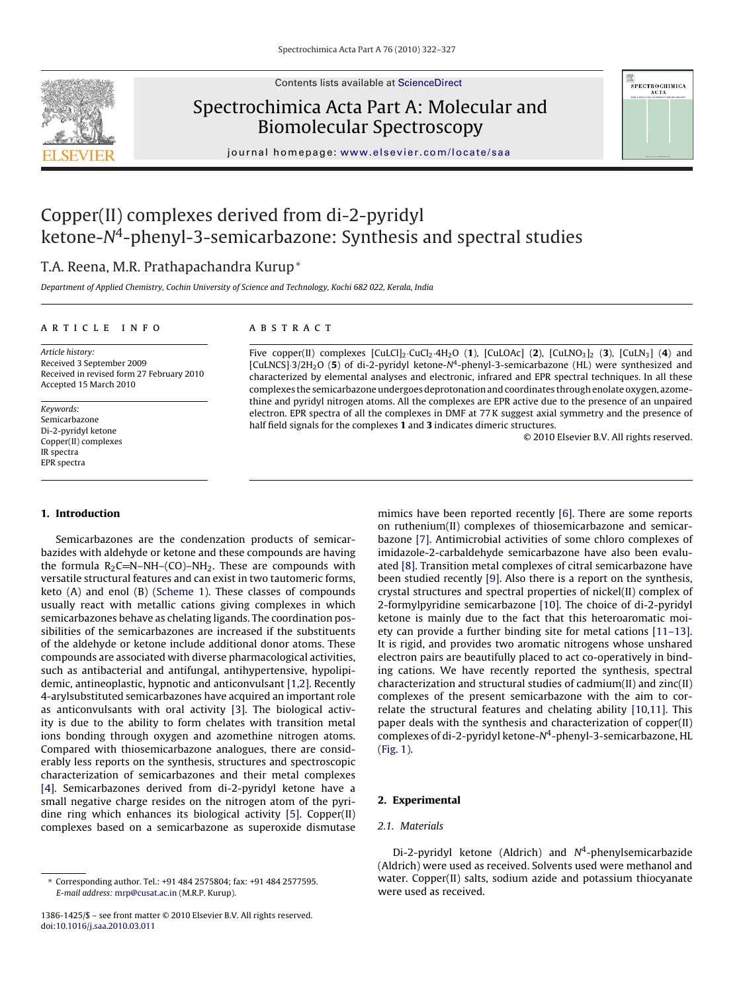

Contents lists available at [ScienceDirect](http://www.sciencedirect.com/science/journal/13861425)

## Spectrochimica Acta Part A: Molecular and Biomolecular Spectroscopy



journal homepage: [www.elsevier.com/locate/saa](http://www.elsevier.com/locate/saa)

# Copper(II) complexes derived from di-2-pyridyl ketone-N4-phenyl-3-semicarbazone: Synthesis and spectral studies

## T.A. Reena, M.R. Prathapachandra Kurup<sup>∗</sup>

Department of Applied Chemistry, Cochin University of Science and Technology, Kochi 682 022, Kerala, India

### article info

## **ABSTRACT**

Article history: Received 3 September 2009 Received in revised form 27 February 2010 Accepted 15 March 2010

Keywords: Semicarbazone Di-2-pyridyl ketone Copper(II) complexes IR spectra EPR spectra

## **1. Introduction**

Semicarbazones are the condenzation products of semicarbazides with aldehyde or ketone and these compounds are having the formula  $R_2C = N-NH-(CO)-NH_2$ . These are compounds with versatile structural features and can exist in two tautomeric forms, keto (A) and enol (B) [\(Scheme 1\).](#page-1-0) These classes of compounds usually react with metallic cations giving complexes in which semicarbazones behave as chelating ligands. The coordination possibilities of the semicarbazones are increased if the substituents of the aldehyde or ketone include additional donor atoms. These compounds are associated with diverse pharmacological activities, such as antibacterial and antifungal, antihypertensive, hypolipidemic, antineoplastic, hypnotic and anticonvulsant [\[1,2\]. R](#page-5-0)ecently 4-arylsubstituted semicarbazones have acquired an important role as anticonvulsants with oral activity [\[3\].](#page-5-0) The biological activity is due to the ability to form chelates with transition metal ions bonding through oxygen and azomethine nitrogen atoms. Compared with thiosemicarbazone analogues, there are considerably less reports on the synthesis, structures and spectroscopic characterization of semicarbazones and their metal complexes [\[4\].](#page-5-0) Semicarbazones derived from di-2-pyridyl ketone have a small negative charge resides on the nitrogen atom of the pyridine ring which enhances its biological activity [\[5\].](#page-5-0) Copper(II) complexes based on a semicarbazone as superoxide dismutase

Five copper(II) complexes [CuLCl]2·CuCl2·4H2O (**1**), [CuLOAc] (**2**), [CuLNO3]2 (**3**), [CuLN3] (**4**) and [CuLNCS]·3/2H<sub>2</sub>O (5) of di-2-pyridyl ketone-N<sup>4</sup>-phenyl-3-semicarbazone (HL) were synthesized and characterized by elemental analyses and electronic, infrared and EPR spectral techniques. In all these complexes the semicarbazone undergoes deprotonation and coordinates through enolate oxygen, azomethine and pyridyl nitrogen atoms. All the complexes are EPR active due to the presence of an unpaired electron. EPR spectra of all the complexes in DMF at 77 K suggest axial symmetry and the presence of half field signals for the complexes **1** and **3** indicates dimeric structures.

© 2010 Elsevier B.V. All rights reserved.

mimics have been reported recently [\[6\]. T](#page-5-0)here are some reports on ruthenium(II) complexes of thiosemicarbazone and semicarbazone [\[7\].](#page-5-0) Antimicrobial activities of some chloro complexes of imidazole-2-carbaldehyde semicarbazone have also been evaluated [\[8\]. T](#page-5-0)ransition metal complexes of citral semicarbazone have been studied recently [\[9\].](#page-5-0) Also there is a report on the synthesis, crystal structures and spectral properties of nickel(II) complex of 2-formylpyridine semicarbazone [\[10\].](#page-5-0) The choice of di-2-pyridyl ketone is mainly due to the fact that this heteroaromatic moiety can provide a further binding site for metal cations [\[11–13\].](#page-5-0) It is rigid, and provides two aromatic nitrogens whose unshared electron pairs are beautifully placed to act co-operatively in binding cations. We have recently reported the synthesis, spectral characterization and structural studies of cadmium(II) and zinc(II) complexes of the present semicarbazone with the aim to correlate the structural features and chelating ability [\[10,11\].](#page-5-0) This paper deals with the synthesis and characterization of copper(II) complexes of di-2-pyridyl ketone- $N^4$ -phenyl-3-semicarbazone, HL [\(Fig. 1\).](#page-1-0)

## **2. Experimental**

## 2.1. Materials

Di-2-pyridyl ketone (Aldrich) and  $N<sup>4</sup>$ -phenylsemicarbazide (Aldrich) were used as received. Solvents used were methanol and water. Copper(II) salts, sodium azide and potassium thiocyanate were used as received.

<sup>∗</sup> Corresponding author. Tel.: +91 484 2575804; fax: +91 484 2577595. E-mail address: [mrp@cusat.ac.in](mailto:mrp@cusat.ac.in) (M.R.P. Kurup).

<sup>1386-1425/\$ –</sup> see front matter © 2010 Elsevier B.V. All rights reserved. doi:[10.1016/j.saa.2010.03.011](dx.doi.org/10.1016/j.saa.2010.03.011)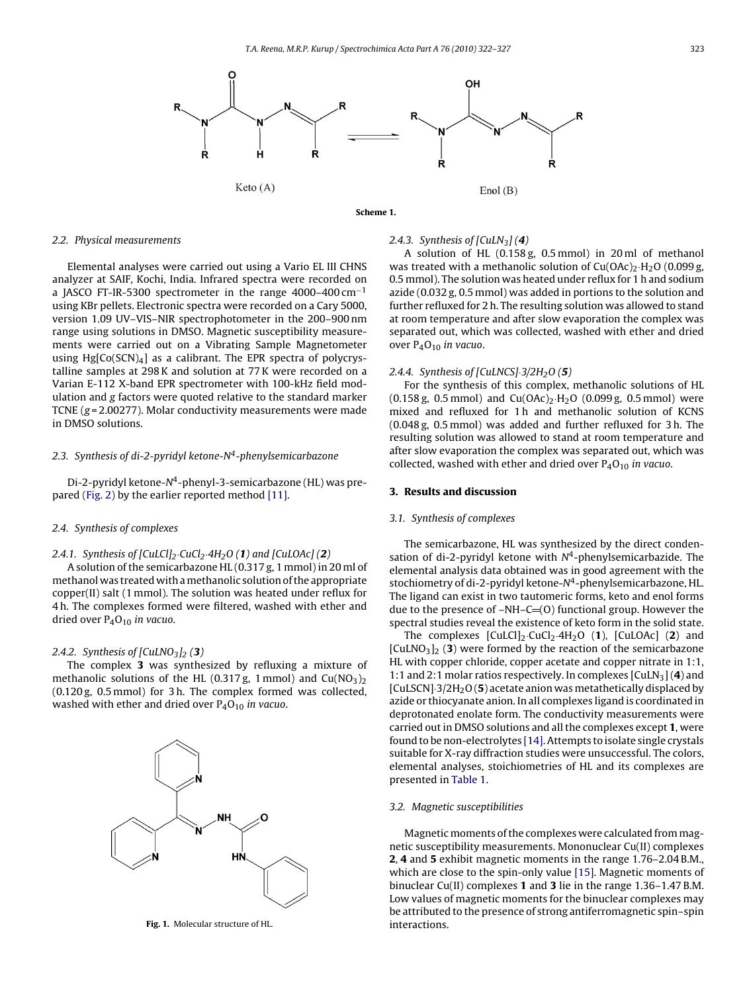<span id="page-1-0"></span>



#### 2.2. Physical measurements

Elemental analyses were carried out using a Vario EL III CHNS analyzer at SAIF, Kochi, India. Infrared spectra were recorded on a JASCO FT-IR-5300 spectrometer in the range 4000–400 cm−<sup>1</sup> using KBr pellets. Electronic spectra were recorded on a Cary 5000, version 1.09 UV–VIS–NIR spectrophotometer in the 200–900 nm range using solutions in DMSO. Magnetic susceptibility measurements were carried out on a Vibrating Sample Magnetometer using  $Hg[Co(SCN)<sub>4</sub>]$  as a calibrant. The EPR spectra of polycrystalline samples at 298 K and solution at 77 K were recorded on a Varian E-112 X-band EPR spectrometer with 100-kHz field modulation and g factors were quoted relative to the standard marker TCNE ( $g = 2.00277$ ). Molar conductivity measurements were made in DMSO solutions.

## 2.3. Synthesis of di-2-pyridyl ketone-N<sup>4</sup>-phenylsemicarbazone

Di-2-pyridyl ketone-N4-phenyl-3-semicarbazone (HL) was prepared [\(Fig. 2\)](#page-2-0) by the earlier reported method [\[11\].](#page-5-0)

#### 2.4. Synthesis of complexes

## 2.4.1. Synthesis of [CuLCl]2·CuCl2·4H2O (**1**) and [CuLOAc] (**2**)

A solution of the semicarbazone HL (0.317 g, 1 mmol) in 20 ml of methanol was treated with amethanolic solution of the appropriate copper(II) salt (1 mmol). The solution was heated under reflux for 4 h. The complexes formed were filtered, washed with ether and dried over  $P_4O_{10}$  in vacuo.

#### 2.4.2. Synthesis of  $\lceil \text{CuLNO}_3 \rceil_2$  (3)

The complex **3** was synthesized by refluxing a mixture of methanolic solutions of the HL (0.317 g, 1 mmol) and  $Cu(NO<sub>3</sub>)<sub>2</sub>$ (0.120 g, 0.5 mmol) for 3 h. The complex formed was collected, washed with ether and dried over  $P_4O_{10}$  in vacuo.



**Fig. 1.** Molecular structure of HL.

### 2.4.3. Synthesis of  $\text{[CulN}_3\text{]}$  (4)

A solution of HL (0.158 g, 0.5 mmol) in 20 ml of methanol was treated with a methanolic solution of  $Cu(OAc)<sub>2</sub>·H<sub>2</sub>O$  (0.099 g, 0.5 mmol). The solution was heated under reflux for 1 h and sodium azide (0.032 g, 0.5 mmol) was added in portions to the solution and further refluxed for 2 h. The resulting solution was allowed to stand at room temperature and after slow evaporation the complex was separated out, which was collected, washed with ether and dried over P<sub>4</sub>O<sub>10</sub> in vacuo.

## 2.4.4. Synthesis of [CuLNCS]·3/2H2O (**5**)

For the synthesis of this complex, methanolic solutions of HL  $(0.158 \text{ g}, 0.5 \text{ mmol})$  and  $Cu(OAc)_2 \cdot H_2O (0.099 \text{ g}, 0.5 \text{ mmol})$  were mixed and refluxed for 1 h and methanolic solution of KCNS (0.048 g, 0.5 mmol) was added and further refluxed for 3 h. The resulting solution was allowed to stand at room temperature and after slow evaporation the complex was separated out, which was collected, washed with ether and dried over  $P_4O_{10}$  in vacuo.

#### **3. Results and discussion**

#### 3.1. Synthesis of complexes

The semicarbazone, HL was synthesized by the direct condensation of di-2-pyridyl ketone with  $N<sup>4</sup>$ -phenylsemicarbazide. The elemental analysis data obtained was in good agreement with the stochiometry of di-2-pyridyl ketone- $N<sup>4</sup>$ -phenylsemicarbazone, HL. The ligand can exist in two tautomeric forms, keto and enol forms due to the presence of  $-NH-C=(0)$  functional group. However the spectral studies reveal the existence of keto form in the solid state.

The complexes  $\text{[CulCl]}_2\text{-} \text{CuCl}_2\text{-} 4\text{H}_2\text{O}$  (1),  $\text{[CulOAc]}$  (2) and [CuLNO3]2 (**3**) were formed by the reaction of the semicarbazone HL with copper chloride, copper acetate and copper nitrate in 1:1, 1:1 and 2:1 molar ratios respectively. In complexes [CuLN3] (**4**) and [CuLSCN]<sup>3</sup>/2H<sub>2</sub>O(5) acetate anion was metathetically displaced by azide or thiocyanate anion. In all complexes ligand is coordinated in deprotonated enolate form. The conductivity measurements were carried out in DMSO solutions and all the complexes except **1**, were found to be non-electrolytes [\[14\]. A](#page-5-0)ttempts to isolate single crystals suitable for X-ray diffraction studies were unsuccessful. The colors, elemental analyses, stoichiometries of HL and its complexes are presented in [Table 1.](#page-2-0)

#### 3.2. Magnetic susceptibilities

Magnetic moments of the complexes were calculated from magnetic susceptibility measurements. Mononuclear Cu(II) complexes **2**, **4** and **5** exhibit magnetic moments in the range 1.76–2.04 B.M., which are close to the spin-only value [\[15\]. M](#page-5-0)agnetic moments of binuclear Cu(II) complexes **1** and **3** lie in the range 1.36–1.47 B.M. Low values of magnetic moments for the binuclear complexes may be attributed to the presence of strong antiferromagnetic spin–spin interactions.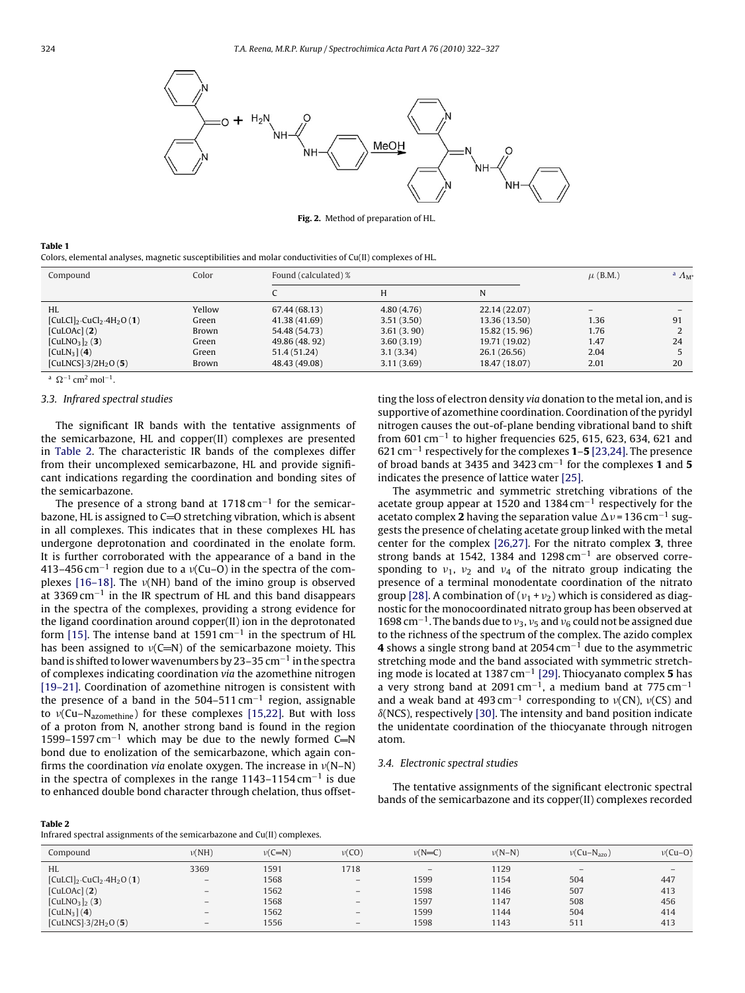<span id="page-2-0"></span>

**Fig. 2.** Method of preparation of HL.

#### **Table 1**

Colors, elemental analyses, magnetic susceptibilities and molar conductivities of Cu(II) complexes of HL.

| Compound                                              | Color  | Found (calculated) % |            |               | $\mu$ (B.M.) | <sup>a</sup> $\Lambda_{\rm M}^*$ |
|-------------------------------------------------------|--------|----------------------|------------|---------------|--------------|----------------------------------|
|                                                       |        |                      | H          | N             |              |                                  |
| HL                                                    | Yellow | 67.44 (68.13)        | 4.80(4.76) | 22.14 (22.07) |              |                                  |
| $[CulCl]_2$ ·CuCl <sub>2</sub> ·4H <sub>2</sub> O (1) | Green  | 41.38 (41.69)        | 3.51(3.50) | 13.36 (13.50) | 1.36         | 91                               |
| [CulOAC] (2)                                          | Brown  | 54.48 (54.73)        | 3.61(3.90) | 15.82 (15.96) | 1.76         |                                  |
| $[CulNO3]_{2} (3)$                                    | Green  | 49.86 (48.92)        | 3.60(3.19) | 19.71 (19.02) | 1.47         | 24                               |
| [CuLN <sub>3</sub> ] (4)                              | Green  | 51.4 (51.24)         | 3.1(3.34)  | 26.1 (26.56)  | 2.04         |                                  |
| [CuLNCS] $-3/2H_2O(5)$ ]                              | Brown  | 48.43 (49.08)        | 3.11(3.69) | 18.47 (18.07) | 2.01         | 20                               |

a  $Q^{-1}$  cm<sup>2</sup> mol<sup>-1</sup>.

### 3.3. Infrared spectral studies

The significant IR bands with the tentative assignments of the semicarbazone, HL and copper(II) complexes are presented in Table 2. The characteristic IR bands of the complexes differ from their uncomplexed semicarbazone, HL and provide significant indications regarding the coordination and bonding sites of the semicarbazone.

The presence of a strong band at 1718 cm<sup>-1</sup> for the semicarbazone, HL is assigned to  $C=O$  stretching vibration, which is absent in all complexes. This indicates that in these complexes HL has undergone deprotonation and coordinated in the enolate form. It is further corroborated with the appearance of a band in the 413–456 cm<sup>-1</sup> region due to a  $v(Cu-O)$  in the spectra of the complexes  $[16-18]$ . The  $\nu(NH)$  band of the imino group is observed at 3369 cm<sup> $-1$ </sup> in the IR spectrum of HL and this band disappears in the spectra of the complexes, providing a strong evidence for the ligand coordination around copper(II) ion in the deprotonated form [\[15\]. T](#page-5-0)he intense band at 1591 cm−<sup>1</sup> in the spectrum of HL has been assigned to  $v(C=N)$  of the semicarbazone moiety. This band is shifted to lower wavenumbers by 23–35 cm−<sup>1</sup> in the spectra of complexes indicating coordination via the azomethine nitrogen [\[19–21\]. C](#page-5-0)oordination of azomethine nitrogen is consistent with the presence of a band in the 504–511 cm−<sup>1</sup> region, assignable to  $v(Cu-N_{azomethine})$  for these complexes [\[15,22\].](#page-5-0) But with loss of a proton from N, another strong band is found in the region 1599–1597 cm<sup>-1</sup> which may be due to the newly formed C=N bond due to enolization of the semicarbazone, which again confirms the coordination via enolate oxygen. The increase in  $v(N-N)$ in the spectra of complexes in the range 1143–1154 cm−<sup>1</sup> is due to enhanced double bond character through chelation, thus offset-

#### **Table 2**

Infrared spectral assignments of the semicarbazone and Cu(II) complexes.

| Compound                                              | $\nu(NH)$                | $\nu(C=N)$ | $\nu(CO)$                       | $\nu(N=C)$               | $\nu(N-N)$ | $\nu$ (Cu-N <sub>azo</sub> ) | $\nu$ (Cu-O)             |
|-------------------------------------------------------|--------------------------|------------|---------------------------------|--------------------------|------------|------------------------------|--------------------------|
| <b>HL</b>                                             | 3369                     | 1591       | 1718                            | $\overline{\phantom{0}}$ | 1129       | $\overline{\phantom{m}}$     | $\overline{\phantom{a}}$ |
| $[CulCl]_2$ ·CuCl <sub>2</sub> ·4H <sub>2</sub> O (1) | $\overline{\phantom{0}}$ | 1568       | $\qquad \qquad -$               | 1599                     | 1154       | 504                          | 447                      |
| [CuLOAc](2)                                           | $\overline{\phantom{0}}$ | 1562       | $\overline{\phantom{m}}$        | 1598                     | 1146       | 507                          | 413                      |
| [CuLNO <sub>3</sub> ] <sub>2</sub> (3)                | $\qquad \qquad -$        | 1568       | $\qquad \qquad -$               | 1597                     | 1147       | 508                          | 456                      |
| [CuLN <sub>3</sub> ] (4)                              | $\overline{\phantom{a}}$ | 1562       | $\overline{\phantom{m}}$        | 1599                     | 1144       | 504                          | 414                      |
| [CuLNCS] $-3/2H_2O(5)$                                | $\overline{\phantom{0}}$ | 1556       | $\hspace{0.1mm}-\hspace{0.1mm}$ | 1598                     | 1143       | 511                          | 413                      |

ting the loss of electron density via donation to the metal ion, and is supportive of azomethine coordination. Coordination of the pyridyl nitrogen causes the out-of-plane bending vibrational band to shift from 601 cm<sup>-1</sup> to higher frequencies 625, 615, 623, 634, 621 and 621 cm−<sup>1</sup> respectively for the complexes **1**–**5** [\[23,24\]. T](#page-5-0)he presence of broad bands at 3435 and 3423 cm−<sup>1</sup> for the complexes **1** and **5** indicates the presence of lattice water [\[25\].](#page-5-0)

The asymmetric and symmetric stretching vibrations of the acetate group appear at 1520 and 1384 cm−<sup>1</sup> respectively for the acetato complex **2** having the separation value  $\Delta v = 136$  cm<sup>-1</sup> suggests the presence of chelating acetate group linked with the metal center for the complex [\[26,27\].](#page-5-0) For the nitrato complex **3**, three strong bands at 1542, 1384 and 1298 cm<sup>-1</sup> are observed corresponding to  $v_1$ ,  $v_2$  and  $v_4$  of the nitrato group indicating the presence of a terminal monodentate coordination of the nitrato group [\[28\]. A](#page-5-0) combination of ( $v_1 + v_2$ ) which is considered as diagnostic for the monocoordinated nitrato group has been observed at 1698 cm<sup>-1</sup>. The bands due to  $v_3$ ,  $v_5$  and  $v_6$  could not be assigned due to the richness of the spectrum of the complex. The azido complex **4** shows a single strong band at 2054 cm−<sup>1</sup> due to the asymmetric stretching mode and the band associated with symmetric stretching mode is located at 1387 cm−<sup>1</sup> [\[29\]. T](#page-5-0)hiocyanato complex **5** has a very strong band at 2091 cm<sup>-1</sup>, a medium band at 775 cm<sup>-1</sup> and a weak band at 493 cm<sup>-1</sup> corresponding to  $v(CN)$ ,  $v(CS)$  and  $\delta(NCS)$ , respectively [\[30\]. T](#page-5-0)he intensity and band position indicate the unidentate coordination of the thiocyanate through nitrogen atom.

#### 3.4. Electronic spectral studies

The tentative assignments of the significant electronic spectral bands of the semicarbazone and its copper(II) complexes recorded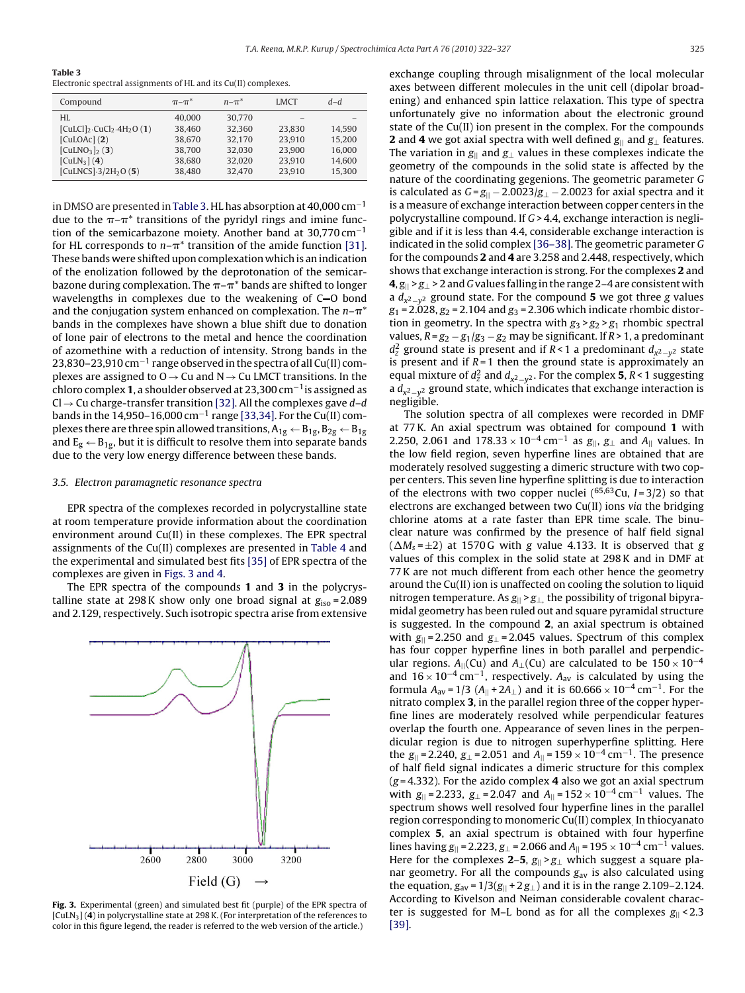**Table 3**

Electronic spectral assignments of HL and its Cu(II) complexes.

| Compound                            | $\pi$ - $\pi^*$ | $n - \pi^*$ | <b>LMCT</b> | $d-d$  |
|-------------------------------------|-----------------|-------------|-------------|--------|
| HI.                                 | 40,000          | 30,770      |             |        |
| $[CulCl]_2$ $CuCl_2$ $4H_2O(1)$     | 38.460          | 32.360      | 23.830      | 14.590 |
| [CulOAC] (2)                        | 38.670          | 32,170      | 23.910      | 15.200 |
| $[CulNO3]_{2}(3)$                   | 38,700          | 32.030      | 23,900      | 16.000 |
| [CulN <sub>3</sub> ] (4)            | 38.680          | 32,020      | 23.910      | 14.600 |
| [CuLNCS] $-3/2H$ <sub>2</sub> O (5) | 38.480          | 32,470      | 23.910      | 15,300 |

in DMSO are presented in Table 3. HL has absorption at 40,000 cm−<sup>1</sup> due to the  $\pi$ – $\pi^\ast$  transitions of the pyridyl rings and imine function of the semicarbazone moiety. Another band at 30,770 cm−<sup>1</sup> for HL corresponds to  $n- \pi^*$  transition of the amide function [\[31\].](#page-5-0) These bands were shifted upon complexation which is an indication of the enolization followed by the deprotonation of the semicarbazone during complexation. The  $\pi$ - $\pi^*$  bands are shifted to longer wavelengths in complexes due to the weakening of  $C=0$  bond and the conjugation system enhanced on complexation. The  $n- \pi^*$ bands in the complexes have shown a blue shift due to donation of lone pair of electrons to the metal and hence the coordination of azomethine with a reduction of intensity. Strong bands in the 23,830–23,910 cm<sup>-1</sup> range observed in the spectra of all Cu(II) complexes are assigned to  $O \rightarrow Cu$  and  $N \rightarrow Cu$  LMCT transitions. In the chloro complex **1**, a shoulder observed at 23,300 cm−1is assigned as Cl  $\rightarrow$  Cu charge-transfer transition [\[32\]. A](#page-5-0)ll the complexes gave d–d bands in the 14,950–16,000 cm−<sup>1</sup> range [\[33,34\]. F](#page-5-0)or the Cu(II) complexes there are three spin allowed transitions,  $A_{1g} \leftarrow B_{1g}$ ,  $B_{2g} \leftarrow B_{1g}$ and  $E_g \leftarrow B_{1g}$ , but it is difficult to resolve them into separate bands due to the very low energy difference between these bands.

#### 3.5. Electron paramagnetic resonance spectra

EPR spectra of the complexes recorded in polycrystalline state at room temperature provide information about the coordination environment around Cu(II) in these complexes. The EPR spectral assignments of the Cu(II) complexes are presented in [Table 4](#page-4-0) and the experimental and simulated best fits [\[35\]](#page-5-0) of EPR spectra of the complexes are given in Figs. 3 and 4.

The EPR spectra of the compounds **1** and **3** in the polycrystalline state at 298 K show only one broad signal at  $g_{iso} = 2.089$ and 2.129, respectively. Such isotropic spectra arise from extensive



**Fig. 3.** Experimental (green) and simulated best fit (purple) of the EPR spectra of [CuLN3] (**4**) in polycrystalline state at 298 K. (For interpretation of the references to color in this figure legend, the reader is referred to the web version of the article.)

exchange coupling through misalignment of the local molecular axes between different molecules in the unit cell (dipolar broadening) and enhanced spin lattice relaxation. This type of spectra unfortunately give no information about the electronic ground state of the Cu(II) ion present in the complex. For the compounds **2** and **4** we got axial spectra with well defined  $g_{\parallel}$  and  $g_{\perp}$  features. The variation in  $g_{\parallel}$  and  $g_{\perp}$  values in these complexes indicate the geometry of the compounds in the solid state is affected by the nature of the coordinating gegenions. The geometric parameter G is calculated as  $G = g_{||} - 2.0023/g_{\perp} - 2.0023$  for axial spectra and it is a measure of exchange interaction between copper centers in the polycrystalline compound. If G> 4.4, exchange interaction is negligible and if it is less than 4.4, considerable exchange interaction is indicated in the solid complex [\[36–38\]. T](#page-5-0)he geometric parameter G for the compounds **2** and **4** are 3.258 and 2.448, respectively, which shows that exchange interaction is strong. For the complexes **2** and  $4$ ,  $g_{\parallel}$  >  $g_{\perp}$  > 2 and G values falling in the range 2–4 are consistent with a  $d_{x^2-y^2}$  ground state. For the compound **5** we got three g values  $g_1 = 2.028, g_2 = 2.104$  and  $g_3 = 2.306$  which indicate rhombic distortion in geometry. In the spectra with  $g_3 > g_2 > g_1$  rhombic spectral values,  $R = g_2 - g_1/g_3 - g_2$  may be significant. If  $R > 1$ , a predominant  $d_z^2$  ground state is present and if R < 1 a predominant  $d_{x^2-y^2}$  state is present and if  $R = 1$  then the ground state is approximately an equal mixture of  $d_z^2$  and  $d_{x^2-y^2}$ . For the complex **5**, R < 1 suggesting a  $d_{\nu^2-\nu^2}$  ground state, which indicates that exchange interaction is negligible.

The solution spectra of all complexes were recorded in DMF at 77 K. An axial spectrum was obtained for compound **1** with 2.250, 2.061 and  $178.33 \times 10^{-4}$  cm<sup>-1</sup> as  $g_{\parallel}$ ,  $g_{\perp}$  and  $A_{\parallel}$  values. In the low field region, seven hyperfine lines are obtained that are moderately resolved suggesting a dimeric structure with two copper centers. This seven line hyperfine splitting is due to interaction of the electrons with two copper nuclei ( $65,63$ Cu,  $I = 3/2$ ) so that electrons are exchanged between two Cu(II) ions via the bridging chlorine atoms at a rate faster than EPR time scale. The binuclear nature was confirmed by the presence of half field signal  $(\Delta M_s = \pm 2)$  at 1570G with g value 4.133. It is observed that g values of this complex in the solid state at 298 K and in DMF at 77 K are not much different from each other hence the geometry around the Cu(II) ion is unaffected on cooling the solution to liquid nitrogen temperature. As  $g_{\parallel}$  >  $g_{\perp}$ , the possibility of trigonal bipyramidal geometry has been ruled out and square pyramidal structure is suggested. In the compound **2**, an axial spectrum is obtained with  $g_{\parallel}$  = 2.250 and  $g_{\perp}$  = 2.045 values. Spectrum of this complex has four copper hyperfine lines in both parallel and perpendicular regions.  $A_{\parallel}$ (Cu) and  $A_{\perp}$ (Cu) are calculated to be 150 × 10<sup>-4</sup> and  $16 \times 10^{-4}$  cm<sup>-1</sup>, respectively. A<sub>av</sub> is calculated by using the formula  $A_{av} = 1/3$  ( $A_{||} + 2A_{\perp}$ ) and it is 60.666 × 10<sup>-4</sup> cm<sup>-1</sup>. For the nitrato complex **3**, in the parallel region three of the copper hyperfine lines are moderately resolved while perpendicular features overlap the fourth one. Appearance of seven lines in the perpendicular region is due to nitrogen superhyperfine splitting. Here the  $g_{\parallel}$  = 2.240,  $g_{\perp}$  = 2.051 and  $A_{\parallel}$  = 159 × 10<sup>-4</sup> cm<sup>-1</sup>. The presence of half field signal indicates a dimeric structure for this complex (g = 4.332). For the azido complex **4** also we got an axial spectrum with  $g_{\parallel}$  = 2.233,  $g_{\perp}$  = 2.047 and  $A_{\parallel}$  = 152 × 10<sup>-4</sup> cm<sup>-1</sup> values. The spectrum shows well resolved four hyperfine lines in the parallel region corresponding to monomeric Cu(II) complex. In thiocyanato complex **5**, an axial spectrum is obtained with four hyperfine lines having  $g_{\parallel}$  = 2.223,  $g_{\perp}$  = 2.066 and  $A_{\parallel}$  = 195 × 10<sup>-4</sup> cm<sup>-1</sup> values. Here for the complexes **2–5**,  $g_{\parallel} > g_{\perp}$  which suggest a square planar geometry. For all the compounds  $g_{av}$  is also calculated using the equation,  $g_{av} = 1/3(g_{||} + 2g_{\perp})$  and it is in the range 2.109–2.124. According to Kivelson and Neiman considerable covalent character is suggested for M–L bond as for all the complexes  $g_{\parallel}$  < 2.3 [\[39\].](#page-5-0)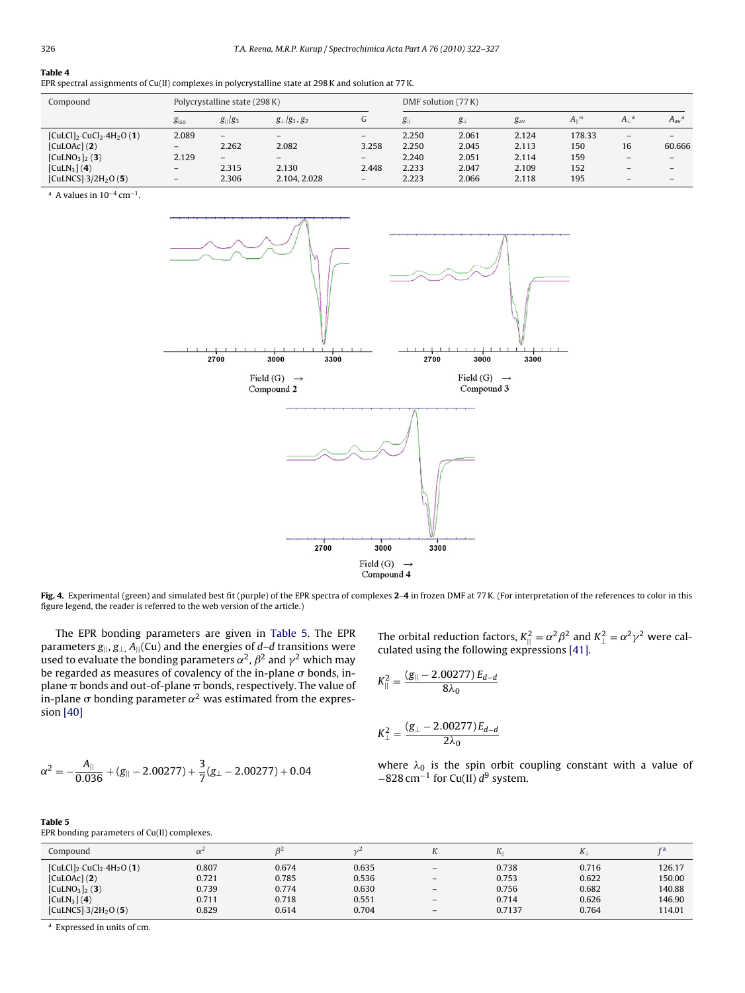## <span id="page-4-0"></span>**Table 4**

| EPR spectral assignments of Cu(II) complexes in polycrystalline state at 298 K and solution at 77 K. |  |  |  |  |  |
|------------------------------------------------------------------------------------------------------|--|--|--|--|--|
|------------------------------------------------------------------------------------------------------|--|--|--|--|--|

| Compound                                              | Polycrystalline state (298 K) |              |                      | DMF solution (77 K)      |                 |             |          |                            |                          |                          |
|-------------------------------------------------------|-------------------------------|--------------|----------------------|--------------------------|-----------------|-------------|----------|----------------------------|--------------------------|--------------------------|
|                                                       | g <sub>iso</sub>              | $g_{  }/g_3$ | $g_{\perp}/g_1, g_2$ | G                        | $g_{\parallel}$ | $g_{\perp}$ | $g_{av}$ | $A_{\parallel}{}^{\alpha}$ | $A_1^a$                  | $A_{av}^a$               |
| $[CulCl]_2$ -CuCl <sub>2</sub> -4H <sub>2</sub> O (1) | 2.089                         | -            | $\qquad \qquad$      | $\overline{\phantom{0}}$ | 2.250           | 2.061       | 2.124    | 178.33                     | $\overline{\phantom{0}}$ | $\overline{\phantom{0}}$ |
| [CulOAc] (2)                                          | $\qquad \qquad -$             | 2.262        | 2.082                | 3.258                    | 2.250           | 2.045       | 2.113    | 150                        | 16                       | 60.666                   |
| [CulNO <sub>3</sub> ] <sub>2</sub> (3)                | 2.129                         | $-$          | $-$                  | $\overline{\phantom{0}}$ | 2.240           | 2.051       | 2.114    | 159                        | $-$                      | $-$                      |
| [CulN <sub>3</sub> ] (4)                              | $\overline{\phantom{m}}$      | 2.315        | 2.130                | 2.448                    | 2.233           | 2.047       | 2.109    | 152                        | $-$                      | $\overline{\phantom{0}}$ |
| [CuLNCS] $-3/2H_2O(5)$ ]                              | -                             | 2.306        | 2.104, 2.028         | $\overline{\phantom{0}}$ | 2.223           | 2.066       | 2.118    | 195                        | -                        | $\overline{\phantom{0}}$ |

<sup>a</sup> A values in  $10^{-4}$  cm<sup>-1</sup>.



**Fig. 4.** Experimental (green) and simulated best fit (purple) of the EPR spectra of complexes **2**–**4** in frozen DMF at 77 K. (For interpretation of the references to color in this figure legend, the reader is referred to the web version of the article.)

The EPR bonding parameters are given in Table 5. The EPR parameters  $g_{\parallel}$ ,  $g_{\perp}$ ,  $A_{\parallel}$ (Cu) and the energies of d–d transitions were used to evaluate the bonding parameters  $\alpha^2$ ,  $\beta^2$  and  $\gamma^2$  which may be regarded as measures of covalency of the in-plane  $\sigma$  bonds, inplane  $\pi$  bonds and out-of-plane  $\pi$  bonds, respectively. The value of in-plane  $\sigma$  bonding parameter  $\alpha^2$  was estimated from the expression [\[40\]](#page-5-0)

$$
\alpha^2 = -\frac{A_{||}}{0.036} + (g_{||}-2.00277) + \frac{3}{7}(g_{\perp}-2.00277) + 0.04
$$

The orbital reduction factors,  $K_{\parallel}^2 = \alpha^2 \beta^2$  and  $K_{\perp}^2 = \alpha^2 \gamma^2$  were calculated using the following expressions [\[41\].](#page-5-0)

$$
K_{||}^2 = \frac{(g_{||}-2.00277) E_{d-d}}{8\lambda_0}
$$

$$
K_{\perp}^{2} = \frac{(g_{\perp} - 2.00277)E_{d-d}}{2\lambda_{0}}
$$

where  $\lambda_0$  is the spin orbit coupling constant with a value of  $-828$  cm<sup>-1</sup> for Cu(II)  $d^9$  system.

|  | EPR bonding parameters of Cu(II) complexes. |  |
|--|---------------------------------------------|--|

| Compound                                              | $\alpha^2$ |       | 1/2   |                          | Δı     | $\mathbf{N}$ | f a    |
|-------------------------------------------------------|------------|-------|-------|--------------------------|--------|--------------|--------|
| $[CulCl]_2$ ·CuCl <sub>2</sub> ·4H <sub>2</sub> O (1) | 0.807      | 0.674 | 0.635 | -                        | 0.738  | 0.716        | 126.17 |
| [CulOAC] (2)                                          | 0.721      | 0.785 | 0.536 | $\qquad \qquad -$        | 0.753  | 0.622        | 150.00 |
| $[CulNO3]_{2} (3)$                                    | 0.739      | 0.774 | 0.630 | $\overline{\phantom{0}}$ | 0.756  | 0.682        | 140.88 |
| [CuLN <sub>3</sub> ] (4)                              | 0.711      | 0.718 | 0.551 | $\overline{\phantom{0}}$ | 0.714  | 0.626        | 146.90 |
| [CuLNCS] $-3/2H_2O(5)$                                | 0.829      | 0.614 | 0.704 | $\overline{\phantom{0}}$ | 0.7137 | 0.764        | 114.01 |

<sup>a</sup> Expressed in units of cm.

**Table 5**